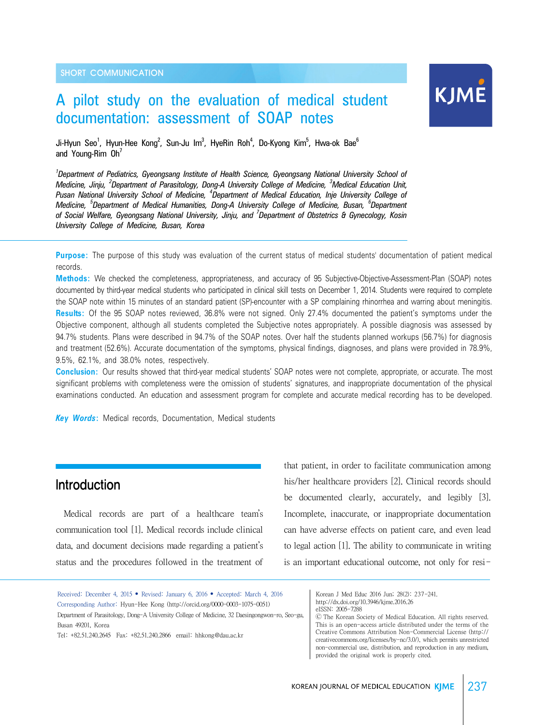# A pilot study on the evaluation of medical student documentation: assessment of SOAP notes



Ji-Hyun Seo<sup>1</sup>, Hyun-Hee Kong<sup>2</sup>, Sun-Ju Im<sup>3</sup>, HyeRin Roh<sup>4</sup>, Do-Kyong Kim<sup>5</sup>, Hwa-ok Bae<sup>6</sup> and Young-Rim  $Oh'$ 

*1 Department of Pediatrics, Gyeongsang Institute of Health Science, Gyeongsang National University School of Medicine, Jinju, <sup>2</sup> Department of Parasitology, Dong-A University College of Medicine, <sup>3</sup> Medical Education Unit, Pusan National University School of Medicine, <sup>4</sup> Department of Medical Education, Inje University College of Medicine, <sup>5</sup> Department of Medical Humanities, Dong-A University College of Medicine, Busan, <sup>6</sup> Department of Social Welfare, Gyeongsang National University, Jinju, and <sup>7</sup> Department of Obstetrics & Gynecology, Kosin University College of Medicine, Busan, Korea* 

**Purpose:** The purpose of this study was evaluation of the current status of medical students' documentation of patient medical records.

**Methods:** We checked the completeness, appropriateness, and accuracy of 95 Subjective-Objective-Assessment-Plan (SOAP) notes documented by third-year medical students who participated in clinical skill tests on December 1, 2014. Students were required to complete the SOAP note within 15 minutes of an standard patient (SP)-encounter with a SP complaining rhinorrhea and warring about meningitis. **Results:** Of the 95 SOAP notes reviewed, 36.8% were not signed. Only 27.4% documented the patient's symptoms under the Objective component, although all students completed the Subjective notes appropriately. A possible diagnosis was assessed by 94.7% students. Plans were described in 94.7% of the SOAP notes. Over half the students planned workups (56.7%) for diagnosis and treatment (52.6%). Accurate documentation of the symptoms, physical findings, diagnoses, and plans were provided in 78.9%, 9.5%, 62.1%, and 38.0% notes, respectively.

**Conclusion:** Our results showed that third-year medical students' SOAP notes were not complete, appropriate, or accurate. The most significant problems with completeness were the omission of students' signatures, and inappropriate documentation of the physical examinations conducted. An education and assessment program for complete and accurate medical recording has to be developed.

*Key Words***:** Medical records, Documentation, Medical students

### **Introduction**

 Medical records are part of a healthcare team's communication tool [1]. Medical records include clinical data, and document decisions made regarding a patient's status and the procedures followed in the treatment of

that patient, in order to facilitate communication among his/her healthcare providers [2]. Clinical records should be documented clearly, accurately, and legibly [3]. Incomplete, inaccurate, or inappropriate documentation can have adverse effects on patient care, and even lead to legal action [1]. The ability to communicate in writing is an important educational outcome, not only for resi-

Received: December 4, 2015 • Revised: January 6, 2016 • Accepted: March 4, 2016 Corresponding Author: Hyun-Hee Kong (http://orcid.org/0000-0003-1075-0051) Department of Parasitology, Dong-A University College of Medicine, 32 Daesingongwon-ro, Seo-gu, Busan 49201, Korea

Tel: +82.51.240.2645 Fax: +82.51.240.2866 email: hhkong@dau.ac.kr

Korean J Med Educ 2016 Jun; 28(2): 237-241. http://dx.doi.org/10.3946/kjme.2016.26 eISSN: 2005-7288

Ⓒ The Korean Society of Medical Education. All rights reserved. This is an open-access article distributed under the terms of the Creative Commons Attribution Non-Commercial License (http:// creativecommons.org/licenses/by-nc/3.0/), which permits unrestricted non-commercial use, distribution, and reproduction in any medium, provided the original work is properly cited.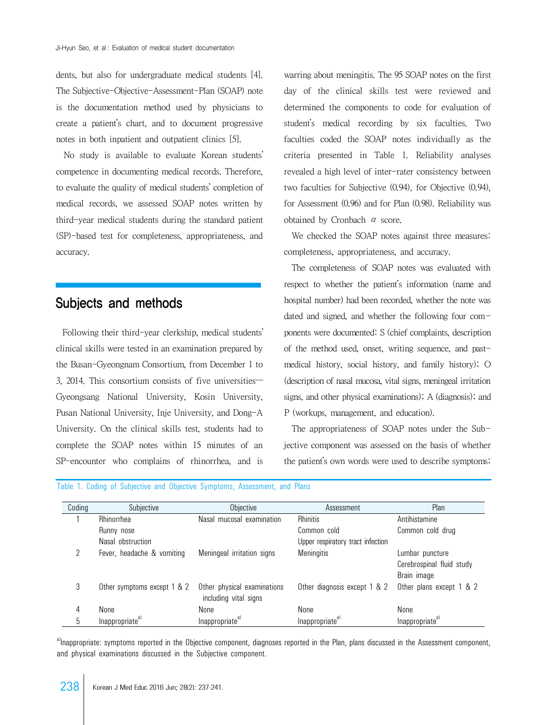dents, but also for undergraduate medical students [4]. The Subjective-Objective-Assessment-Plan (SOAP) note is the documentation method used by physicians to create a patient's chart, and to document progressive notes in both inpatient and outpatient clinics [5].

 No study is available to evaluate Korean students' competence in documenting medical records. Therefore, to evaluate the quality of medical students' completion of medical records, we assessed SOAP notes written by third-year medical students during the standard patient (SP)-based test for completeness, appropriateness, and accuracy.

# Subjects and methods

 Following their third-year clerkship, medical students' clinical skills were tested in an examination prepared by the Busan-Gyeongnam Consortium, from December 1 to 3, 2014. This consortium consists of five universities— Gyeongsang National University, Kosin University, Pusan National University, Inje University, and Dong-A University. On the clinical skills test, students had to complete the SOAP notes within 15 minutes of an SP-encounter who complains of rhinorrhea, and is warring about meningitis. The 95 SOAP notes on the first day of the clinical skills test were reviewed and determined the components to code for evaluation of student's medical recording by six faculties. Two faculties coded the SOAP notes individually as the criteria presented in Table 1. Reliability analyses revealed a high level of inter-rater consistency between two faculties for Subjective (0.94), for Objective (0.94), for Assessment (0.96) and for Plan (0.98). Reliability was obtained by Cronbach α score.

 We checked the SOAP notes against three measures: completeness, appropriateness, and accuracy.

 The completeness of SOAP notes was evaluated with respect to whether the patient's information (name and hospital number) had been recorded, whether the note was dated and signed, and whether the following four components were documented: S (chief complaints, description of the method used, onset, writing sequence, and pastmedical history, social history, and family history); O (description of nasal mucosa, vital signs, meningeal irritation signs, and other physical examinations); A (diagnosis); and P (workups, management, and education).

 The appropriateness of SOAP notes under the Subjective component was assessed on the basis of whether the patient's own words were used to describe symptoms;

| Coding | Subjective                  | Objective                                            | Assessment                        | Plan                                                        |
|--------|-----------------------------|------------------------------------------------------|-----------------------------------|-------------------------------------------------------------|
|        | Rhinorrhea                  | Nasal mucosal examination                            | <b>Rhinitis</b>                   | Antihistamine                                               |
|        | Runny nose                  |                                                      | Common cold                       | Common cold drug                                            |
|        | Nasal obstruction           |                                                      | Upper respiratory tract infection |                                                             |
|        | Fever, headache & vomiting  | Meningeal irritation signs                           | <b>Meningitis</b>                 | Lumbar puncture<br>Cerebrospinal fluid study<br>Brain image |
| 3      | Other symptoms except 1 & 2 | Other physical examinations<br>including vital signs | Other diagnosis except 1 & 2      | Other plans except 1 & 2                                    |
| 4      | None                        | None                                                 | None                              | None                                                        |
|        | Inappropriate <sup>a)</sup> | Inappropriate <sup>a)</sup>                          | Inappropriate <sup>al</sup>       | Inappropriate <sup>a)</sup>                                 |

Table 1. Coding of Subjective and Objective Symptoms, Assessment, and Plans

a)Inappropriate: symptoms reported in the Objective component, diagnoses reported in the Plan, plans discussed in the Assessment component, and physical examinations discussed in the Subjective component.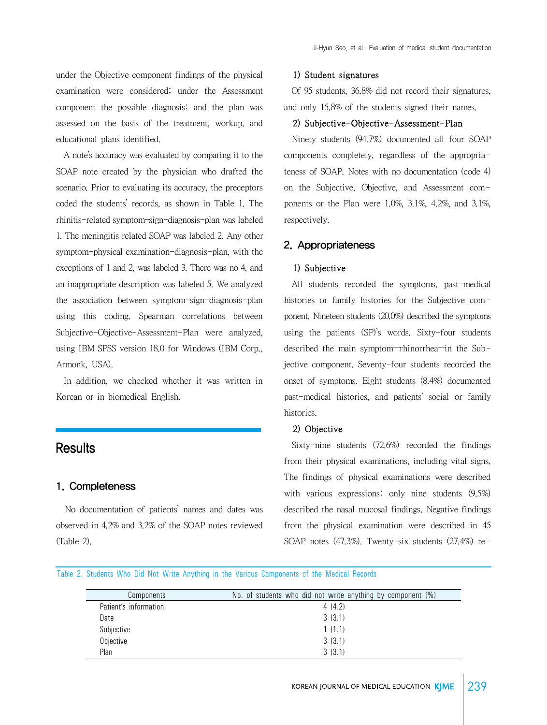under the Objective component findings of the physical examination were considered; under the Assessment component the possible diagnosis; and the plan was assessed on the basis of the treatment, workup, and educational plans identified.

 A note's accuracy was evaluated by comparing it to the SOAP note created by the physician who drafted the scenario. Prior to evaluating its accuracy, the preceptors coded the students' records, as shown in Table 1. The rhinitis-related symptom-sign-diagnosis-plan was labeled 1. The meningitis related SOAP was labeled 2. Any other symptom-physical examination-diagnosis-plan, with the exceptions of 1 and 2, was labeled 3. There was no 4, and an inappropriate description was labeled 5. We analyzed the association between symptom-sign-diagnosis-plan using this coding. Spearman correlations between Subjective-Objective-Assessment-Plan were analyzed, using IBM SPSS version 18.0 for Windows (IBM Corp., Armonk, USA).

 In addition, we checked whether it was written in Korean or in biomedical English.

### **Results**

#### 1. Completeness

 No documentation of patients' names and dates was observed in 4.2% and 3.2% of the SOAP notes reviewed (Table 2).

#### 1) Student signatures

 Of 95 students, 36.8% did not record their signatures, and only 15.8% of the students signed their names.

#### 2) Subjective-Objective-Assessment-Plan

 Ninety students (94.7%) documented all four SOAP components completely, regardless of the appropriateness of SOAP. Notes with no documentation (code 4) on the Subjective, Objective, and Assessment components or the Plan were 1.0%, 3.1%, 4.2%, and 3.1%, respectively.

#### 2. Appropriateness

#### 1) Subjective

 All students recorded the symptoms, past-medical histories or family histories for the Subjective component. Nineteen students (20.0%) described the symptoms using the patients (SP)'s words. Sixty-four students described the main symptom—rhinorrhea—in the Subjective component. Seventy-four students recorded the onset of symptoms. Eight students (8.4%) documented past-medical histories, and patients' social or family histories.

#### 2) Objective

 Sixty-nine students (72.6%) recorded the findings from their physical examinations, including vital signs. The findings of physical examinations were described with various expressions: only nine students (9.5%) described the nasal mucosal findings. Negative findings from the physical examination were described in 45 SOAP notes (47.3%). Twenty-six students (27.4%) re-

Table 2. Students Who Did Not Write Anything in the Various Components of the Medical Records

| Components            | No. of students who did not write anything by component (%) |
|-----------------------|-------------------------------------------------------------|
| Patient's information | 4(4.2)                                                      |
| Date                  | 3(3.1)                                                      |
| Subjective            | 1(1.1)                                                      |
| Objective             | 3(3.1)                                                      |
| Plan                  | 3(3.1)                                                      |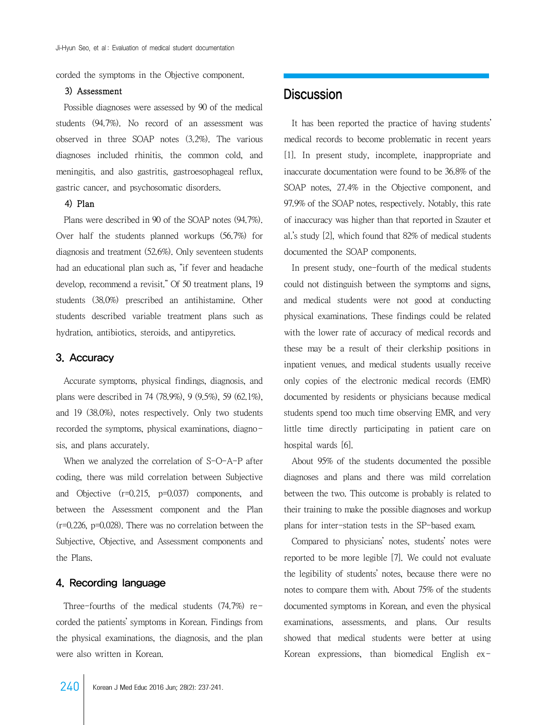corded the symptoms in the Objective component.

#### 3) Assessment

 Possible diagnoses were assessed by 90 of the medical students (94.7%). No record of an assessment was observed in three SOAP notes (3.2%). The various diagnoses included rhinitis, the common cold, and meningitis, and also gastritis, gastroesophageal reflux, gastric cancer, and psychosomatic disorders.

#### 4) Plan

 Plans were described in 90 of the SOAP notes (94.7%). Over half the students planned workups (56.7%) for diagnosis and treatment (52.6%). Only seventeen students had an educational plan such as, "if fever and headache develop, recommend a revisit." Of 50 treatment plans, 19 students (38.0%) prescribed an antihistamine. Other students described variable treatment plans such as hydration, antibiotics, steroids, and antipyretics.

#### 3. Accuracy

 Accurate symptoms, physical findings, diagnosis, and plans were described in 74 (78.9%), 9 (9.5%), 59 (62.1%), and 19 (38.0%), notes respectively. Only two students recorded the symptoms, physical examinations, diagnosis, and plans accurately.

When we analyzed the correlation of S-O-A-P after coding, there was mild correlation between Subjective and Objective (r=0.215, p=0.037) components, and between the Assessment component and the Plan (r=0.226, p=0.028). There was no correlation between the Subjective, Objective, and Assessment components and the Plans.

#### 4. Recording language

 Three-fourths of the medical students (74.7%) recorded the patients' symptoms in Korean. Findings from the physical examinations, the diagnosis, and the plan were also written in Korean.

 It has been reported the practice of having students' medical records to become problematic in recent years [1]. In present study, incomplete, inappropriate and inaccurate documentation were found to be 36.8% of the SOAP notes, 27.4% in the Objective component, and 97.9% of the SOAP notes, respectively. Notably, this rate of inaccuracy was higher than that reported in Szauter et al.'s study [2], which found that 82% of medical students documented the SOAP components.

 In present study, one-fourth of the medical students could not distinguish between the symptoms and signs, and medical students were not good at conducting physical examinations. These findings could be related with the lower rate of accuracy of medical records and these may be a result of their clerkship positions in inpatient venues, and medical students usually receive only copies of the electronic medical records (EMR) documented by residents or physicians because medical students spend too much time observing EMR, and very little time directly participating in patient care on hospital wards [6].

 About 95% of the students documented the possible diagnoses and plans and there was mild correlation between the two. This outcome is probably is related to their training to make the possible diagnoses and workup plans for inter-station tests in the SP-based exam.

 Compared to physicians' notes, students' notes were reported to be more legible [7]. We could not evaluate the legibility of students' notes, because there were no notes to compare them with. About 75% of the students documented symptoms in Korean, and even the physical examinations, assessments, and plans. Our results showed that medical students were better at using Korean expressions, than biomedical English ex